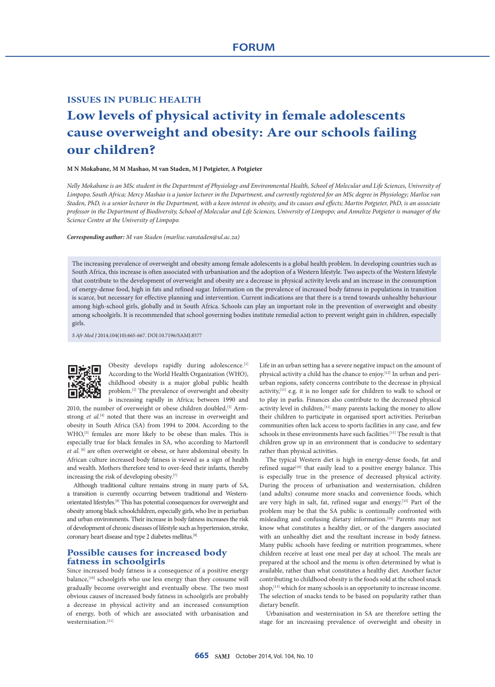# **ISSUES IN PUBLIC HEALTH Low levels of physical activity in female adolescents cause overweight and obesity: Are our schools failing our children?**

#### **M N Mokabane, M M Mashao, M van Staden, M J Potgieter, A Potgieter**

*Nelly Mokabane is an MSc student in the Department of Physiology and Environmental Health, School of Molecular and Life Sciences, University of Limpopo, South Africa; Mercy Mashao is a junior lecturer in the Department, and currently registered for an MSc degree in Physiology; Marlise van Staden, PhD, is a senior lecturer in the Department, with a keen interest in obesity, and its causes and eects; Martin Potgieter, PhD, is an associate professor in the Department of Biodiversity, School of Molecular and Life Sciences, University of Limpopo; and Annelize Potgieter is manager of the Science Centre at the University of Limpopo.*

*Corresponding author: M van Staden (marlise.vanstaden@ul.ac.za)*

The increasing prevalence of overweight and obesity among female adolescents is a global health problem. In developing countries such as South Africa, this increase is often associated with urbanisation and the adoption of a Western lifestyle. Two aspects of the Western lifestyle that contribute to the development of overweight and obesity are a decrease in physical activity levels and an increase in the consumption of energy-dense food, high in fats and refined sugar. Information on the prevalence of increased body fatness in populations in transition is scarce, but necessary for effective planning and intervention. Current indications are that there is a trend towards unhealthy behaviour among high-school girls, globally and in South Africa. Schools can play an important role in the prevention of overweight and obesity among schoolgirls. It is recommended that school governing bodies institute remedial action to prevent weight gain in children, especially girls.

*S Afr Med J* 2014;104(10):665-667. DOI:10.7196/SAMJ.8577



Obesity develops rapidly during adolescence.<sup>[1]</sup> According to the World Health Organization (WHO), childhood obesity is a major global public health problem.[2] The prevalence of overweight and obesity is increasing rapidly in Africa; between 1990 and

2010, the number of overweight or obese children doubled.<sup>[3]</sup> Armstrong *et al.*<sup>[4]</sup> noted that there was an increase in overweight and obesity in South Africa (SA) from 1994 to 2004. According to the WHO,<sup>[5]</sup> females are more likely to be obese than males. This is especially true for black females in SA, who according to Martorell et al. [6] are often overweight or obese, or have abdominal obesity. In African culture increased body fatness is viewed as a sign of health and wealth. Mothers therefore tend to over-feed their infants, thereby increasing the risk of developing obesity.[7]

Although traditional culture remains strong in many parts of SA, a transition is currently occurring between traditional and Westernorientated lifestyles.[8] This has potential consequences for overweight and obesity among black schoolchildren, especially girls, who live in periurban and urban environments. Their increase in body fatness increases the risk of development of chronic diseases of lifestyle such as hypertension, stroke, coronary heart disease and type 2 diabetes mellitus.[9]

## **Possible causes for increased body fatness in schoolgirls**

Since increased body fatness is a consequence of a positive energy balance,<sup>[10]</sup> schoolgirls who use less energy than they consume will gradually become overweight and eventually obese. The two most obvious causes of increased body fatness in schoolgirls are probably a decrease in physical activity and an increased consumption of energy, both of which are associated with urbanisation and  ${\rm westernisation.}^{\rm [11]}$ 

Life in an urban setting has a severe negative impact on the amount of physical activity a child has the chance to enjoy.<sup>[12]</sup> In urban and periurban regions, safety concerns contribute to the decrease in physical activity,[11] e.g. it is no longer safe for children to walk to school or to play in parks. Finances also contribute to the decreased physical activity level in children, [11] many parents lacking the money to allow their children to participate in organised sport activities. Periurban communities often lack access to sports facilities in any case, and few schools in these environments have such facilities.  $\left[ \mathrm{^{111}$  The result is that children grow up in an environment that is conducive to sedentary rather than physical activities.

The typical Western diet is high in energy-dense foods, fat and refined sugar<sup>[10]</sup> that easily lead to a positive energy balance. This is especially true in the presence of decreased physical activity. During the process of urbanisation and westernisation, children (and adults) consume more snacks and convenience foods, which are very high in salt, fat, refined sugar and energy.<sup>[13]</sup> Part of the problem may be that the SA public is continually confronted with misleading and confusing dietary information.[10] Parents may not know what constitutes a healthy diet, or of the dangers associated with an unhealthy diet and the resultant increase in body fatness. Many public schools have feeding or nutrition programmes, where children receive at least one meal per day at school. The meals are prepared at the school and the menu is often determined by what is available, rather than what constitutes a healthy diet. Another factor contributing to childhood obesity is the foods sold at the school snack shop,<sup>[13]</sup> which for many schools is an opportunity to increase income. The selection of snacks tends to be based on popularity rather than dietary benefit.

Urbanisation and westernisation in SA are therefore setting the stage for an increasing prevalence of overweight and obesity in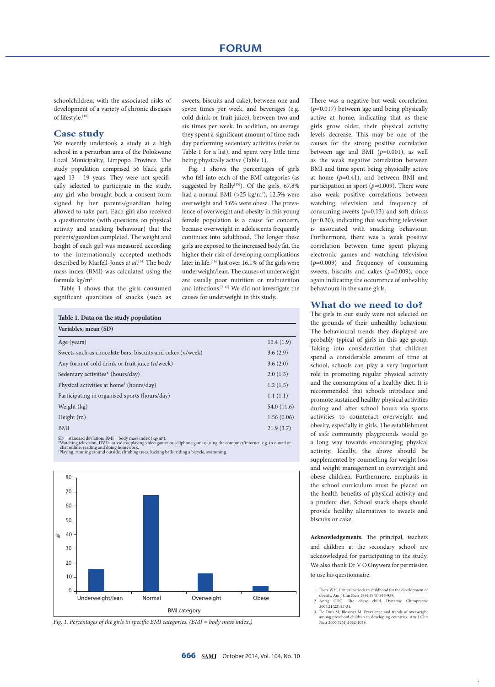schoolchildren, with the associated risks of development of a variety of chronic diseases of lifestyle.[10]

#### **Case study**

We recently undertook a study at a high school in a periurban area of the Polokwane Local Municipality, Limpopo Province. The study population comprised 56 black girls aged 13 - 19 years. They were not specifically selected to participate in the study, any girl who brought back a consent form signed by her parents/guardian being allowed to take part. Each girl also received a questionnaire (with questions on physical activity and snacking behaviour) that the parents/guardian completed. The weight and height of each girl was measured according to the internationally accepted methods described by Marfell-Jones *et al*. [14] The body mass index (BMI) was calculated using the formula kg/m2 .

Table 1 shows that the girls consumed significant quantities of snacks (such as

sweets, biscuits and cake), between one and seven times per week, and beverages (e.g. cold drink or fruit juice), between two and six times per week. In addition, on average they spent a significant amount of time each day performing sedentary activities (refer to Table 1 for a list), and spent very little time being physically active (Table 1).

Fig. 1 shows the percentages of girls who fell into each of the BMI categories (as suggested by Reilly<sup>[15]</sup>). Of the girls,  $67.8\%$ had a normal BMI  $(>25 \text{ kg/m}^2)$ , 12.5% were overweight and 3.6% were obese. The prevalence of over weight and obesity in this young female population is a cause for concern, because overweight in adolescents frequently continues into adulthood. The longer these girls are exposed to the increased body fat, the higher their risk of developing complications later in life.<sup>[16]</sup> Just over 16.1% of the girls were underweight/lean. The causes of underweight are usually poor nutrition or malnutrition and infections.[8,17] We did not investigate the causes for underweight in this study.

| Table 1. Data on the study population<br>Variables, mean (SD)             |             |
|---------------------------------------------------------------------------|-------------|
|                                                                           |             |
| Sweets such as chocolate bars, biscuits and cakes (n/week)                | 3.6(2.9)    |
| Any form of cold drink or fruit juice (n/week)                            | 3.6(2.0)    |
| Sedentary activities* (hours/day)                                         | 2.0(1.3)    |
| Physical activities at home <sup>†</sup> (hours/day)                      | 1.2(1.5)    |
| Participating in organised sports (hours/day)                             | 1.1(1.1)    |
| Weight (kg)                                                               | 54.0 (11.6) |
| Height $(m)$                                                              | 1.56(0.06)  |
| <b>BMI</b>                                                                | 21.9(3.7)   |
| $SD = standard deviation$ ; $BMI = body$ mass index (kg/m <sup>2</sup> ). |             |

SD = standard deviation; BMI = body mass index (kg/m²).<br>\*Watching television, DVDs or videos; playing video games or cellphone games; using the computer/internet, e.g. to e-mail or<br>\*Watching television, DVDs or videos; pla



*Fig. 1. Percentages of the girls in specific BMI categories. (BMI = body mass index.)* 

There was a negative but weak correlation (*p*=0.017) between age and being physically active at home, indicating that as these girls grow older, their physical activity levels decrease. This may be one of the causes for the strong positive correlation between age and BMI (*p*=0.001), as well as the weak negative correlation between BMI and time spent being physically active at home (*p*=0.41), and between BMI and participation in sport (*p*=0.009). There were also weak positive correlations between watching television and frequency of consuming sweets  $(p=0.13)$  and soft drinks (*p*=0.20), indicating that watching television is associated with snacking behaviour. Furthermore, there was a weak positive correlation between time spent playing electronic games and watching television (*p*=0.009) and frequency of consuming sweets, biscuits and cakes ( $p=0.009$ ), once again indicating the occurrence of unhealthy behaviours in the same girls.

### **What do we need to do?**

The girls in our study were not selected on the grounds of their unhealthy behaviour. The behavioural trends they displayed are probably typical of girls in this age group. Taking into consideration that children spend a considerable amount of time at school, schools can play a very important role in promoting regular physical activity and the consumption of a healthy diet. It is recommended that schools introduce and promote sustained healthy physical activities during and after school hours via sports activities to counteract overweight and obesity, especially in girls. The establishment of safe community playgrounds would go a long way towards encouraging physical activity. Ideally, the above should be supplemented by counselling for weight loss and weight management in overweight and obese children. Furthermore, emphasis in the school curriculum must be placed on the health benefits of physical activity and a prudent diet. School snack shops should provide healthy alternatives to sweets and biscuits or cake.

Acknowledgements. The principal, teachers and children at the secondary school are acknowledged for participating in the study. We also thank Dr V O Onywera for permission to use his questionnaire.

- 1. Dietz WH. Critical periods in childhood for the development of obesity. Am J Clin Nutr 1994;59(5):955-959.<br>2. Anrig CDC. The obese child. Dyna
- 2. Anrig CDC. The obese child. Dynamic Chiropractic 2003;21(22):27-31.
- 3. De Onis M, Blossner M. Prevalence and trends of overweight among preschool children in developing countries. Am J Clin Nutr 2000;72(4):1032-1039.